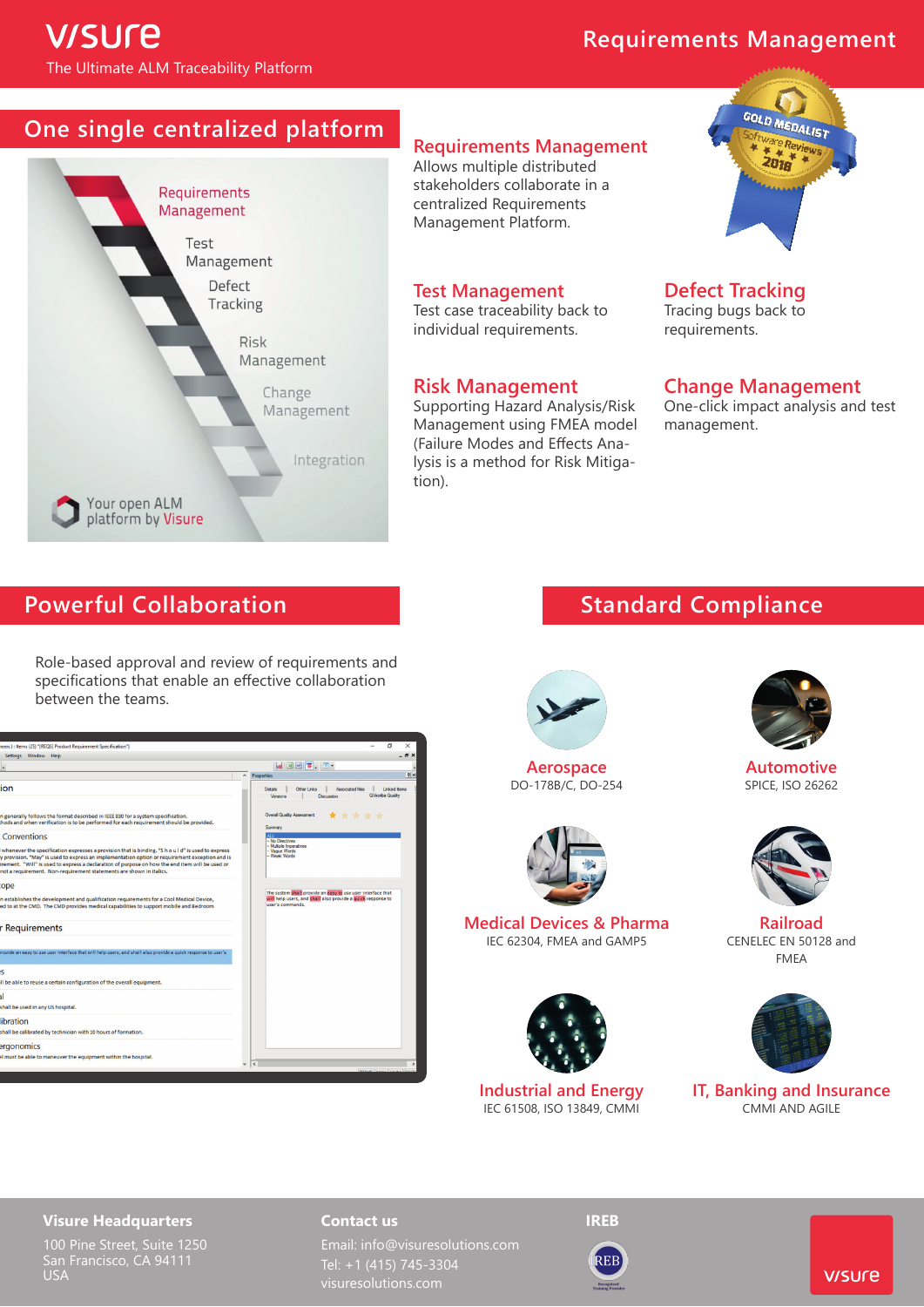# **V/SUre** The Ultimate ALM Traceability Platform

# **Requirements Management**

# **One single centralized platform**



#### **Requirements Management**

Allows multiple distributed stakeholders collaborate in a centralized Requirements Management Platform.

#### **Test Management**

Test case traceability back to individual requirements.

#### **Risk Management**

Supporting Hazard Analysis/Risk Management using FMEA model (Failure Modes and Effects Analysis is a method for Risk Mitigation).



**Defect Tracking** Tracing bugs back to requirements.

#### **Change Management**

One-click impact analysis and test management.

# **Powerful Collaboration**

Role-based approval and review of requirements and specifications that enable an effective collaboration between the teams.



# **Standard Compliance**



**Aerospace** DO-178B/C, DO-254



**Medical Devices & Pharma** IEC 62304, FMEA and GAMP5



**Industrial and Energy** IEC 61508, ISO 13849, CMMI



**Automotive** SPICE, ISO 26262



**Railroad** CENELEC EN 50128 and FMEA



**IT, Banking and Insurance** CMMI AND AGILE

#### **Visure Headquarters**

100 Pine Street, Suite 1250 San Francisco, CA 94111 USA

#### **Contact us**

Email: info@visuresolutions.com visuresolutions.com

**IREB** rt er